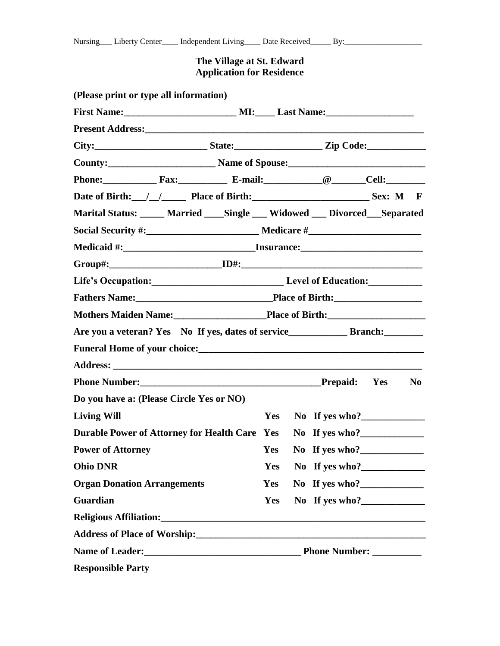## **The Village at St. Edward Application for Residence**

| (Please print or type all information)                                           |                               |  |                    |  |  |  |
|----------------------------------------------------------------------------------|-------------------------------|--|--------------------|--|--|--|
| First Name: MI: Last Name:                                                       |                               |  |                    |  |  |  |
|                                                                                  |                               |  |                    |  |  |  |
|                                                                                  |                               |  |                    |  |  |  |
|                                                                                  |                               |  |                    |  |  |  |
| Phone: Fax: Fax: E-mail: Cell: Cell:                                             |                               |  |                    |  |  |  |
| Date of Birth: // / Place of Birth: Sex: M F                                     |                               |  |                    |  |  |  |
| Marital Status: _____ Married ____ Single ___ Widowed ___ Divorced ___ Separated |                               |  |                    |  |  |  |
|                                                                                  |                               |  |                    |  |  |  |
|                                                                                  |                               |  |                    |  |  |  |
|                                                                                  |                               |  |                    |  |  |  |
| Life's Occupation: Level of Education:                                           |                               |  |                    |  |  |  |
|                                                                                  | Fathers Name: Place of Birth: |  |                    |  |  |  |
|                                                                                  |                               |  |                    |  |  |  |
|                                                                                  |                               |  |                    |  |  |  |
|                                                                                  |                               |  |                    |  |  |  |
|                                                                                  |                               |  |                    |  |  |  |
|                                                                                  |                               |  |                    |  |  |  |
| Do you have a: (Please Circle Yes or NO)                                         |                               |  |                    |  |  |  |
| <b>Living Will</b>                                                               |                               |  | Yes No If yes who? |  |  |  |
| Durable Power of Attorney for Health Care Yes No If yes who?                     |                               |  |                    |  |  |  |
| <b>Power of Attorney</b>                                                         | Yes                           |  | No If yes who?     |  |  |  |
| <b>Ohio DNR</b>                                                                  |                               |  | Yes No If yes who? |  |  |  |
| <b>Organ Donation Arrangements</b>                                               |                               |  | Yes No If yes who? |  |  |  |
| Guardian                                                                         |                               |  | Yes No If yes who? |  |  |  |
|                                                                                  |                               |  |                    |  |  |  |
|                                                                                  |                               |  |                    |  |  |  |
|                                                                                  |                               |  |                    |  |  |  |
| <b>Responsible Party</b>                                                         |                               |  |                    |  |  |  |